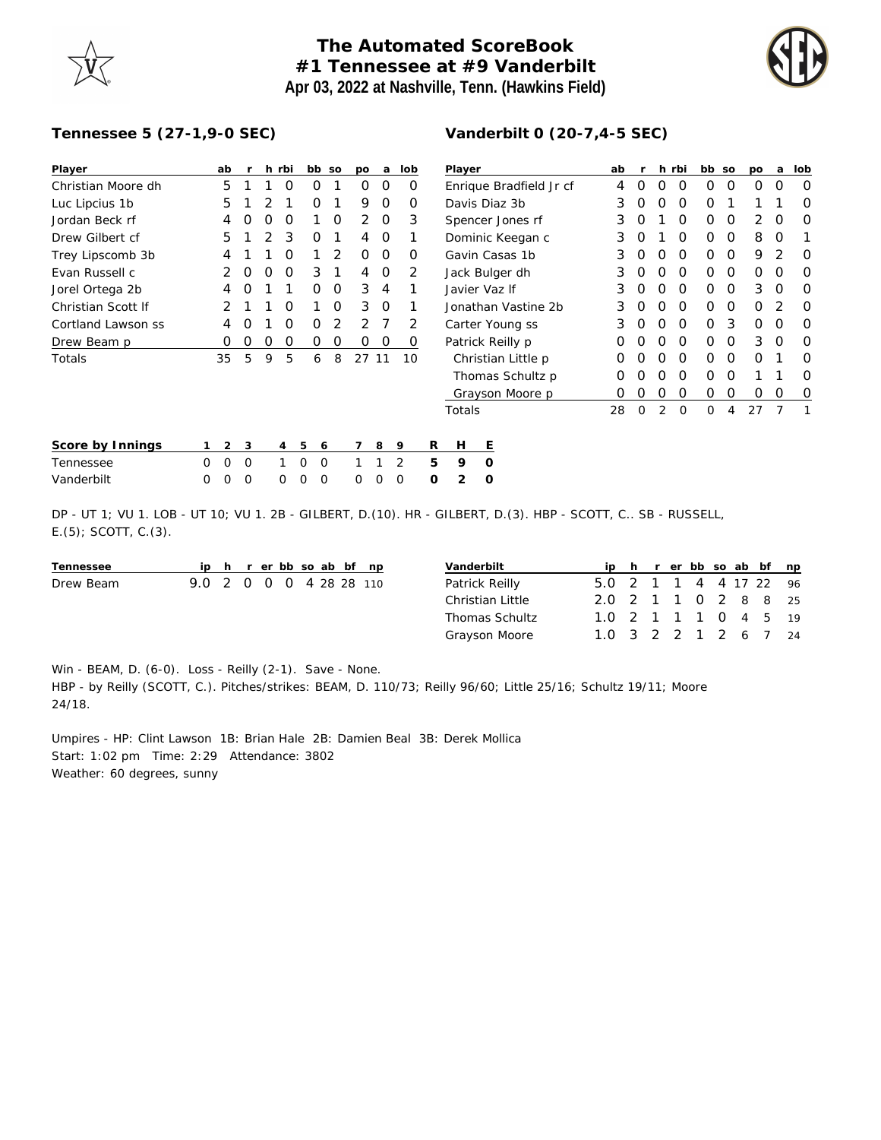## **The Automated ScoreBook #1 Tennessee at #9 Vanderbilt Apr 03, 2022 at Nashville, Tenn. (Hawkins Field)**



## **Tennessee 5 (27-1,9-0 SEC)**

| Player             |   | ab             | r        | h | rbi | bb       |          | SO             | po             | a | lob |   | Player        |
|--------------------|---|----------------|----------|---|-----|----------|----------|----------------|----------------|---|-----|---|---------------|
| Christian Moore dh |   | 5              | 1        | 1 | Ο   | 0        |          | 1              | 0              | 0 | O   |   | Enriqu        |
| Luc Lipcius 1b     |   | 5              | 1        | 2 | 1   | 0        |          | 1              | 9              | 0 | Ο   |   | Davis I       |
| Jordan Beck rf     |   | 4              | O        | 0 | O   | 1        |          | O              | 2              | 0 | 3   |   | <b>Spence</b> |
| Drew Gilbert cf    |   | 5              | 1        | 2 | 3   | 0        |          | 1              | 4              | O | 1   |   | Domin         |
| Trey Lipscomb 3b   |   | 4              | 1        | 1 | O   | 1        |          | $\overline{2}$ | O              | 0 | Ο   |   | Gavin         |
| Evan Russell c     |   | 2              | O        | 0 | O   | 3        |          | 1              | 4              | O | 2   |   | Jack B        |
| Jorel Ortega 2b    |   | 4              | $\Omega$ | 1 | 1   | O        |          | 0              | 3              | 4 | 1   |   | Javier        |
| Christian Scott If |   | 2              | 1        | 1 | O   | 1        |          | 0              | 3              | 0 | 1   |   | Jonath        |
| Cortland Lawson ss |   | 4              | O        | 1 | O   | O        |          | 2              | $\overline{2}$ | 7 | 2   |   | Carter        |
| Drew Beam p        |   | Ο              | 0        | 0 | 0   | 0        |          | 0              | 0              | O | O   |   | Patrick       |
| Totals             |   | 35             | 5        | 9 | 5   | 6        |          | 8              | 27 11          |   | 10  |   | Chris         |
|                    |   |                |          |   |     |          |          |                |                |   |     |   | Thom          |
|                    |   |                |          |   |     |          |          |                |                |   |     |   | Grays         |
|                    |   |                |          |   |     |          |          |                |                |   |     |   | Totals        |
|                    |   |                |          |   |     |          |          |                |                |   |     |   |               |
| Score by Innings   | 1 | $\mathfrak{D}$ | 3        |   | 4   | 5        | 6        |                | 7              | 8 | 9   | R | Н             |
| Tennessee          | O | $\Omega$       | $\Omega$ |   | 1   | $\Omega$ | $\Omega$ |                | 1              | 1 | 2   | 5 | 9             |
| \/andarhilt        | ∩ | ∩              | $\cap$   |   | ∩   | ∩        | ∩        |                | ∩              | ∩ | ∩   | ∩ | っ             |

## **Vanderbilt 0 (20-7,4-5 SEC)**

| Player                  | ab               | r                | h.               | rbi | bb | SO | po               | a                | lob |
|-------------------------|------------------|------------------|------------------|-----|----|----|------------------|------------------|-----|
| Enrique Bradfield Jr cf | 4                | $\left( \right)$ | $\left( \right)$ | O   | O  | Ω  | 0                | $\left( \right)$ | Ω   |
| Davis Diaz 3b           | 3                | Ω                | Ω                | O   | Ω  | 1  | 1                | 1                | 0   |
| Spencer Jones rf        | 3                | Ω                | 1                | O   | O  | Ω  | 2                | O                | Ω   |
| Dominic Keegan c        | 3                | Ω                | 1                | O   | O  | Ω  | 8                | ∩                |     |
| Gavin Casas 1b          | 3                | Ω                | Ω                | O   | Ω  | Ω  | 9                | 2                | Ω   |
| Jack Bulger dh          | 3                | Ω                | O                | O   | O  | Ω  | Ω                | Ω                | Ω   |
| Javier Vaz If           | 3                | Ω                | O                | O   | O  | ∩  | 3                | O                | Ω   |
| Jonathan Vastine 2b     | 3                | Ω                | O                | O   | 0  | Ω  | $\left( \right)$ | 2                | O   |
| Carter Young ss         | 3                | Ω                | Ω                | O   | Ω  | 3  | Ω                | ∩                | O   |
| Patrick Reilly p        | Ω                | Ω                | Ω                | O   | 0  | Ω  | 3                | ∩                | Ω   |
| Christian Little p      | Ω                | Ω                | Ω                | ∩   | ∩  | ∩  | Ω                | 1                | Ω   |
| Thomas Schultz p        | Ω                | Ω                | Ω                | O   | Ω  | Ω  | 1                | 1                | Ω   |
| Grayson Moore p         | $\left( \right)$ | $\left( \right)$ | O                | O   | Ω  | Ω  | 0                | Ω                | O   |
| Totals                  | 28               | ∩                | 2                | ∩   | ∩  | 4  | 27               | 7                |     |

| Score by Innings | 1 2 3 |  | 456789                  |  | R | H    |  |
|------------------|-------|--|-------------------------|--|---|------|--|
| Tennessee        |       |  | 0 0 0 1 0 0 1 1 2 5 9 0 |  |   |      |  |
| Vanderbilt       |       |  | 000 000 000             |  |   | 02 O |  |

DP - UT 1; VU 1. LOB - UT 10; VU 1. 2B - GILBERT, D.(10). HR - GILBERT, D.(3). HBP - SCOTT, C.. SB - RUSSELL, E.(5); SCOTT, C.(3).

| Tennessee |                         |  | ip h r er bb so ab bf np |  |  | Vanderbilt       |                        |  |  |  | ip h r er bb so ab bf np |
|-----------|-------------------------|--|--------------------------|--|--|------------------|------------------------|--|--|--|--------------------------|
| Drew Beam | 9.0 2 0 0 0 4 28 28 110 |  |                          |  |  | Patrick Reilly   | 5.0 2 1 1 4 4 17 22 96 |  |  |  |                          |
|           |                         |  |                          |  |  | Christian Little | 2.0 2 1 1 0 2 8 8 25   |  |  |  |                          |
|           |                         |  |                          |  |  | Thomas Schultz   | 1.0 2 1 1 1 0 4 5 19   |  |  |  |                          |
|           |                         |  |                          |  |  | Grayson Moore    | 1.0 3 2 2 1 2 6 7 24   |  |  |  |                          |

Win - BEAM, D. (6-0). Loss - Reilly (2-1). Save - None.

HBP - by Reilly (SCOTT, C.). Pitches/strikes: BEAM, D. 110/73; Reilly 96/60; Little 25/16; Schultz 19/11; Moore 24/18.

Umpires - HP: Clint Lawson 1B: Brian Hale 2B: Damien Beal 3B: Derek Mollica Start: 1:02 pm Time: 2:29 Attendance: 3802 Weather: 60 degrees, sunny